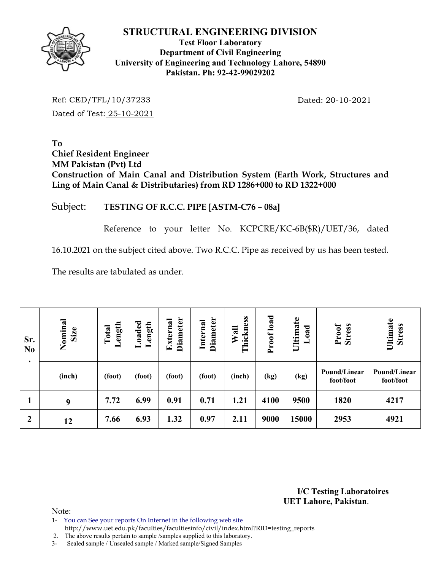

### **Test Floor Laboratory Department of Civil Engineering University of Engineering and Technology Lahore, 54890 Pakistan. Ph: 92-42-99029202**

Ref: CED/TFL/10/37233 Dated: 20-10-2021 Dated of Test: 25-10-2021

**To Chief Resident Engineer MM Pakistan (Pvt) Ltd Construction of Main Canal and Distribution System (Earth Work, Structures and Ling of Main Canal & Distributaries) from RD 1286+000 to RD 1322+000** 

### Subject: **TESTING OF R.C.C. PIPE [ASTM-C76 – 08a]**

Reference to your letter No. KCPCRE/KC-6B(\$R)/UET/36, dated

16.10.2021 on the subject cited above. Two R.C.C. Pipe as received by us has been tested.

The results are tabulated as under.

| Sr.<br>N <sub>0</sub> | Nominal<br>Size | ength<br>Total<br>┙ | Loaded<br>Length | <b>Diameter</b><br>External | <b>Diameter</b><br>Internal | Thickness<br>Wall | load<br>Proof | Ultimate<br>oad | Proof<br><b>Stress</b>    | Ultimate<br><b>Stress</b> |
|-----------------------|-----------------|---------------------|------------------|-----------------------------|-----------------------------|-------------------|---------------|-----------------|---------------------------|---------------------------|
| $\bullet$             | (inch)          | (foot)              | (foot)           | (foot)                      | (foot)                      | (inch)            | (kg)          | (kg)            | Pound/Linear<br>foot/foot | Pound/Linear<br>foot/foot |
|                       | 9               | 7.72                | 6.99             | 0.91                        | 0.71                        | 1.21              | 4100          | 9500            | 1820                      | 4217                      |
| $\boldsymbol{2}$      | 12              | 7.66                | 6.93             | 1.32                        | 0.97                        | 2.11              | 9000          | 15000           | 2953                      | 4921                      |

**I/C Testing Laboratoires UET Lahore, Pakistan**.

Note:

1- You can See your reports On Internet in the following web site http://www.uet.edu.pk/faculties/facultiesinfo/civil/index.html?RID=testing\_reports

2. The above results pertain to sample /samples supplied to this laboratory.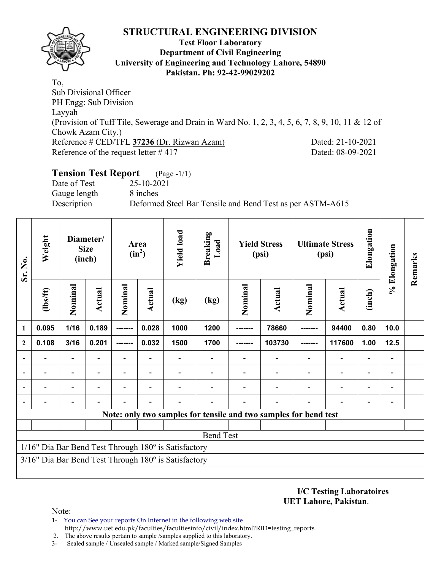

### **Test Floor Laboratory Department of Civil Engineering University of Engineering and Technology Lahore, 54890 Pakistan. Ph: 92-42-99029202**

To, Sub Divisional Officer PH Engg: Sub Division Layyah (Provision of Tuff Tile, Sewerage and Drain in Ward No. 1, 2, 3, 4, 5, 6, 7, 8, 9, 10, 11 & 12 of Chowk Azam City.) Reference # CED/TFL **37236** (Dr. Rizwan Azam) Dated: 21-10-2021 Reference of the request letter # 417 Dated: 08-09-2021

## **Tension Test Report** (Page -1/1)

Date of Test 25-10-2021 Gauge length 8 inches

Description Deformed Steel Bar Tensile and Bend Test as per ASTM-A615

| Sr. No.                                                          | Weight                   |                          | Diameter/<br><b>Size</b><br>(inch) |         | Area<br>$(in^2)$ | <b>Yield load</b>                                              | <b>Breaking</b><br>Load |         | <b>Yield Stress</b><br>(psi) |         | <b>Ultimate Stress</b><br>(psi) | Elongation               | % Elongation                 | Remarks |
|------------------------------------------------------------------|--------------------------|--------------------------|------------------------------------|---------|------------------|----------------------------------------------------------------|-------------------------|---------|------------------------------|---------|---------------------------------|--------------------------|------------------------------|---------|
|                                                                  | $\frac{2}{10}$           | Nominal                  | <b>Actual</b>                      | Nominal | Actual           | (kg)                                                           | (kg)                    | Nominal | <b>Actual</b>                | Nominal | Actual                          | (inch)                   |                              |         |
| $\mathbf{1}$                                                     | 0.095                    | 1/16                     | 0.189                              | ------- | 0.028            | 1000                                                           | 1200                    |         | 78660                        |         | 94400                           | 0.80                     | 10.0                         |         |
| $\mathbf{2}$                                                     | 0.108                    | 3/16                     | 0.201                              |         | 0.032            | 1500                                                           | 1700                    |         | 103730                       |         | 117600                          | 1.00                     | $12.5$                       |         |
| $\overline{a}$                                                   | -                        | $\overline{\phantom{0}}$ |                                    | -       | ٠                |                                                                |                         |         |                              |         | $\overline{\phantom{0}}$        | $\overline{\phantom{0}}$ | $\qquad \qquad \blacksquare$ |         |
|                                                                  | $\overline{\phantom{0}}$ | $\overline{\phantom{0}}$ | $\blacksquare$                     | Ξ.      | $\blacksquare$   |                                                                |                         |         |                              |         | $\overline{\phantom{0}}$        | $\overline{\phantom{0}}$ | $\qquad \qquad \blacksquare$ |         |
|                                                                  |                          |                          |                                    |         |                  |                                                                |                         |         |                              |         |                                 |                          |                              |         |
|                                                                  |                          |                          |                                    |         |                  |                                                                |                         |         |                              |         |                                 |                          |                              |         |
| Note: only two samples for tensile and two samples for bend test |                          |                          |                                    |         |                  |                                                                |                         |         |                              |         |                                 |                          |                              |         |
|                                                                  |                          |                          |                                    |         |                  |                                                                |                         |         |                              |         |                                 |                          |                              |         |
|                                                                  | <b>Bend Test</b>         |                          |                                    |         |                  |                                                                |                         |         |                              |         |                                 |                          |                              |         |
|                                                                  |                          |                          |                                    |         |                  | 1/16" Dia Bar Bend Test Through 180° is Satisfactory           |                         |         |                              |         |                                 |                          |                              |         |
|                                                                  |                          |                          |                                    |         |                  | $3/16$ " Dia Bar Bend Test Through $180^\circ$ is Satisfactory |                         |         |                              |         |                                 |                          |                              |         |
|                                                                  |                          |                          |                                    |         |                  |                                                                |                         |         |                              |         |                                 |                          |                              |         |

**I/C Testing Laboratoires UET Lahore, Pakistan**.

- 1- You can See your reports On Internet in the following web site http://www.uet.edu.pk/faculties/facultiesinfo/civil/index.html?RID=testing\_reports
- 2. The above results pertain to sample /samples supplied to this laboratory.
- 3- Sealed sample / Unsealed sample / Marked sample/Signed Samples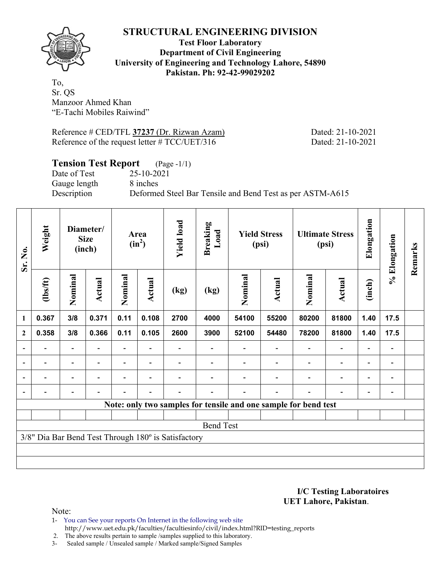

**Test Floor Laboratory Department of Civil Engineering University of Engineering and Technology Lahore, 54890 Pakistan. Ph: 92-42-99029202** 

To, Sr. QS Manzoor Ahmed Khan "E-Tachi Mobiles Raiwind"

Reference # CED/TFL **37237** (Dr. Rizwan Azam) Dated: 21-10-2021 Reference of the request letter # TCC/UET/316 Dated: 21-10-2021

## **Tension Test Report** (Page -1/1)

Date of Test 25-10-2021 Gauge length 8 inches

Description Deformed Steel Bar Tensile and Bend Test as per ASTM-A615

| Sr. No.        | Weight                                                          |                          | Diameter/<br><b>Size</b><br>(inch) |                          | Area<br>$(in^2)$         | <b>Yield load</b>                                   | <b>Breaking</b><br>Load |         | <b>Yield Stress</b><br>(psi) |                | <b>Ultimate Stress</b><br>(psi) | Elongation               | % Elongation                 | Remarks |
|----------------|-----------------------------------------------------------------|--------------------------|------------------------------------|--------------------------|--------------------------|-----------------------------------------------------|-------------------------|---------|------------------------------|----------------|---------------------------------|--------------------------|------------------------------|---------|
|                | (1bs/ft)                                                        | Nominal                  | Actual                             | Nominal                  | <b>Actual</b>            | (kg)                                                | (kg)                    | Nominal | Actual                       | Nominal        | <b>Actual</b>                   | (inch)                   |                              |         |
| $\mathbf{1}$   | 0.367                                                           | 3/8                      | 0.371                              | 0.11                     | 0.108                    | 2700                                                | 4000                    | 54100   | 55200                        | 80200          | 81800                           | 1.40                     | 17.5                         |         |
| $\mathbf{2}$   | 0.358                                                           | 3/8                      | 0.366                              | 0.11                     | 0.105                    | 2600                                                | 3900                    | 52100   | 54480                        | 78200          | 81800                           | 1.40                     | 17.5                         |         |
| $\overline{a}$ |                                                                 | $\overline{\phantom{0}}$ |                                    |                          |                          |                                                     |                         |         |                              |                | $\overline{a}$                  | $\qquad \qquad -$        |                              |         |
| $\blacksquare$ | Ξ.                                                              | $\overline{\phantom{a}}$ | $\blacksquare$                     | $\blacksquare$           | $\overline{\phantom{a}}$ |                                                     |                         |         |                              | ۰              | $\blacksquare$                  | $\overline{\phantom{0}}$ | $\blacksquare$               |         |
|                | -                                                               | $\overline{\phantom{0}}$ |                                    | $\overline{\phantom{0}}$ | $\overline{\phantom{0}}$ |                                                     |                         |         |                              | $\blacksquare$ | $\overline{a}$                  | $\overline{\phantom{0}}$ | $\qquad \qquad \blacksquare$ |         |
|                |                                                                 | Ξ.                       |                                    |                          | $\overline{\phantom{0}}$ |                                                     |                         |         |                              |                | $\overline{\phantom{0}}$        | $\overline{\phantom{0}}$ | $\qquad \qquad \blacksquare$ |         |
|                | Note: only two samples for tensile and one sample for bend test |                          |                                    |                          |                          |                                                     |                         |         |                              |                |                                 |                          |                              |         |
|                |                                                                 |                          |                                    |                          |                          |                                                     |                         |         |                              |                |                                 |                          |                              |         |
|                |                                                                 |                          |                                    |                          |                          |                                                     | <b>Bend Test</b>        |         |                              |                |                                 |                          |                              |         |
|                |                                                                 |                          |                                    |                          |                          | 3/8" Dia Bar Bend Test Through 180° is Satisfactory |                         |         |                              |                |                                 |                          |                              |         |
|                |                                                                 |                          |                                    |                          |                          |                                                     |                         |         |                              |                |                                 |                          |                              |         |
|                |                                                                 |                          |                                    |                          |                          |                                                     |                         |         |                              |                |                                 |                          |                              |         |

**I/C Testing Laboratoires UET Lahore, Pakistan**.

Note:

- 1- You can See your reports On Internet in the following web site http://www.uet.edu.pk/faculties/facultiesinfo/civil/index.html?RID=testing\_reports
- 2. The above results pertain to sample /samples supplied to this laboratory.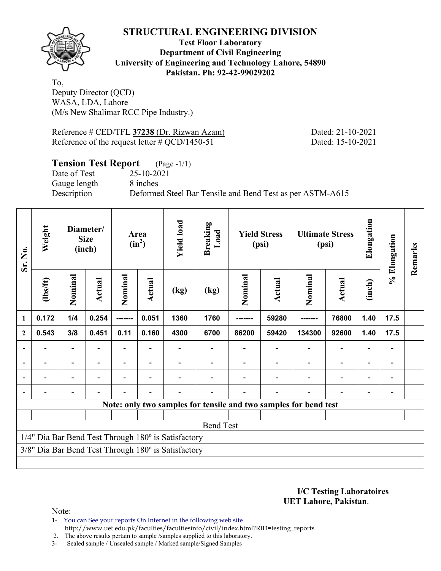

**Test Floor Laboratory Department of Civil Engineering University of Engineering and Technology Lahore, 54890 Pakistan. Ph: 92-42-99029202** 

To, Deputy Director (QCD) WASA, LDA, Lahore (M/s New Shalimar RCC Pipe Industry.)

Reference # CED/TFL **37238** (Dr. Rizwan Azam) Dated: 21-10-2021 Reference of the request letter # QCD/1450-51 Dated: 15-10-2021

### **Tension Test Report** (Page -1/1)

Date of Test 25-10-2021 Gauge length 8 inches

Description Deformed Steel Bar Tensile and Bend Test as per ASTM-A615

| Sr. No.                  | Weight         |                                                                  | Diameter/<br><b>Size</b><br>(inch) |         | Area<br>$(in^2)$                           | <b>Yield load</b>                                   | <b>Breaking</b><br>Load |         | <b>Yield Stress</b><br>(psi) |         | <b>Ultimate Stress</b><br>(psi) | Elongation               | % Elongation | Remarks |
|--------------------------|----------------|------------------------------------------------------------------|------------------------------------|---------|--------------------------------------------|-----------------------------------------------------|-------------------------|---------|------------------------------|---------|---------------------------------|--------------------------|--------------|---------|
|                          | (1bs/ft)       | Nominal                                                          | Actual                             | Nominal | Actual                                     | (kg)                                                | (kg)                    | Nominal | Actual                       | Nominal | <b>Actual</b>                   | (inch)                   |              |         |
| $\mathbf{1}$             | 0.172          | 1/4                                                              | 0.254                              | ------- | 0.051                                      | 1360                                                | 1760                    | ------- | 59280                        |         | 76800                           | 1.40                     | 17.5         |         |
| $\mathbf{2}$             | 0.543          | 3/8                                                              | 0.451                              | 0.11    | 0.160                                      | 4300                                                | 6700                    | 86200   | 59420                        | 134300  | 92600                           | 1.40                     | 17.5         |         |
| $\overline{\phantom{a}}$ | $\blacksquare$ | $\overline{\phantom{0}}$                                         |                                    |         | $\overline{\phantom{0}}$<br>$\overline{a}$ |                                                     |                         |         |                              |         |                                 |                          |              |         |
| $\overline{\phantom{0}}$ |                | $\blacksquare$                                                   |                                    |         |                                            |                                                     |                         |         |                              |         | $\overline{a}$                  | $\overline{\phantom{0}}$ |              |         |
| $\blacksquare$           |                | -                                                                |                                    |         |                                            |                                                     |                         |         |                              |         | $\overline{\phantom{0}}$        | $\overline{\phantom{0}}$ |              |         |
| $\overline{\phantom{0}}$ |                |                                                                  |                                    |         |                                            |                                                     |                         |         |                              |         |                                 |                          |              |         |
|                          |                | Note: only two samples for tensile and two samples for bend test |                                    |         |                                            |                                                     |                         |         |                              |         |                                 |                          |              |         |
|                          |                |                                                                  |                                    |         |                                            |                                                     |                         |         |                              |         |                                 |                          |              |         |
|                          |                |                                                                  |                                    |         |                                            |                                                     | <b>Bend Test</b>        |         |                              |         |                                 |                          |              |         |
|                          |                |                                                                  |                                    |         |                                            | 1/4" Dia Bar Bend Test Through 180° is Satisfactory |                         |         |                              |         |                                 |                          |              |         |
|                          |                |                                                                  |                                    |         |                                            | 3/8" Dia Bar Bend Test Through 180° is Satisfactory |                         |         |                              |         |                                 |                          |              |         |
|                          |                |                                                                  |                                    |         |                                            |                                                     |                         |         |                              |         |                                 |                          |              |         |

**I/C Testing Laboratoires UET Lahore, Pakistan**.

Note:

1- You can See your reports On Internet in the following web site http://www.uet.edu.pk/faculties/facultiesinfo/civil/index.html?RID=testing\_reports

2. The above results pertain to sample /samples supplied to this laboratory.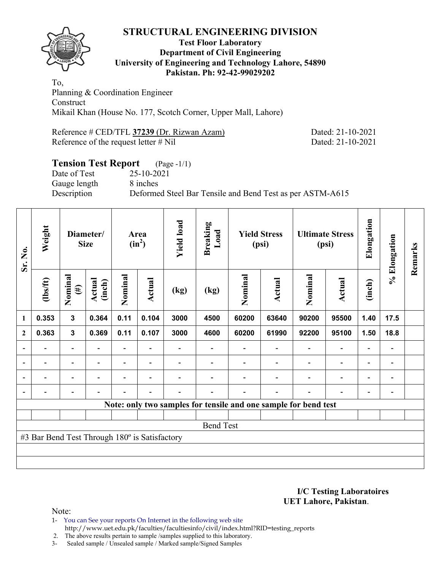

### **Test Floor Laboratory Department of Civil Engineering University of Engineering and Technology Lahore, 54890 Pakistan. Ph: 92-42-99029202**

To, Planning & Coordination Engineer **Construct** Mikail Khan (House No. 177, Scotch Corner, Upper Mall, Lahore)

Reference # CED/TFL **37239** (Dr. Rizwan Azam) Dated: 21-10-2021 Reference of the request letter # Nil Dated: 21-10-2021

# **Tension Test Report** (Page -1/1)

Date of Test 25-10-2021 Gauge length 8 inches

Description Deformed Steel Bar Tensile and Bend Test as per ASTM-A615

| Sr. No.      | Weight                                        |                          | Diameter/<br><b>Size</b> |                | Area<br>$(in^2)$         | <b>Yield load</b> | <b>Breaking</b><br>Load |         | <b>Yield Stress</b><br>(psi)                                    |                          | <b>Ultimate Stress</b><br>(psi) | Elongation               | % Elongation                 | Remarks |
|--------------|-----------------------------------------------|--------------------------|--------------------------|----------------|--------------------------|-------------------|-------------------------|---------|-----------------------------------------------------------------|--------------------------|---------------------------------|--------------------------|------------------------------|---------|
|              | (1bs/ft)                                      | Nominal<br>$(\#)$        | Actual<br>(inch)         | Nominal        | Actual                   | (kg)              | (kg)                    | Nominal | <b>Actual</b>                                                   | Nominal                  | <b>Actual</b>                   | (inch)                   |                              |         |
| 1            | 0.353                                         | $\mathbf{3}$             | 0.364                    | 0.11           | 0.104                    | 3000              | 4500                    | 60200   | 63640                                                           | 90200                    | 95500                           | 1.40                     | 17.5                         |         |
| $\mathbf{2}$ | 0.363                                         | $\mathbf{3}$             | 0.369                    | 0.11           | 0.107                    | 3000              | 4600                    | 60200   | 61990                                                           | 92200                    | 95100                           | 1.50                     | 18.8                         |         |
|              |                                               | $\overline{\phantom{0}}$ |                          | Ξ.             |                          |                   |                         |         |                                                                 |                          | $\overline{\phantom{0}}$        | $\overline{\phantom{0}}$ |                              |         |
|              |                                               | -                        |                          |                | ٠                        |                   |                         |         |                                                                 |                          | $\qquad \qquad \blacksquare$    | -                        | $\qquad \qquad \blacksquare$ |         |
|              | $\overline{\phantom{0}}$                      | $\overline{\phantom{a}}$ | $\blacksquare$           | $\blacksquare$ | $\overline{\phantom{0}}$ |                   |                         |         | $\overline{\phantom{0}}$                                        | $\overline{\phantom{a}}$ | $\overline{\phantom{a}}$        | $\overline{\phantom{a}}$ | $\overline{\phantom{a}}$     |         |
|              | $\overline{\phantom{0}}$                      | $\overline{\phantom{0}}$ |                          |                | ٠                        |                   |                         |         | $\overline{\phantom{0}}$                                        | ۰                        | $\overline{\phantom{0}}$        | $\overline{\phantom{a}}$ | $\qquad \qquad \blacksquare$ |         |
|              |                                               |                          |                          |                |                          |                   |                         |         | Note: only two samples for tensile and one sample for bend test |                          |                                 |                          |                              |         |
|              |                                               |                          |                          |                |                          |                   |                         |         |                                                                 |                          |                                 |                          |                              |         |
|              |                                               |                          |                          |                |                          |                   | <b>Bend Test</b>        |         |                                                                 |                          |                                 |                          |                              |         |
|              | #3 Bar Bend Test Through 180° is Satisfactory |                          |                          |                |                          |                   |                         |         |                                                                 |                          |                                 |                          |                              |         |
|              |                                               |                          |                          |                |                          |                   |                         |         |                                                                 |                          |                                 |                          |                              |         |
|              |                                               |                          |                          |                |                          |                   |                         |         |                                                                 |                          |                                 |                          |                              |         |

**I/C Testing Laboratoires UET Lahore, Pakistan**.

Note:

1- You can See your reports On Internet in the following web site http://www.uet.edu.pk/faculties/facultiesinfo/civil/index.html?RID=testing\_reports

2. The above results pertain to sample /samples supplied to this laboratory.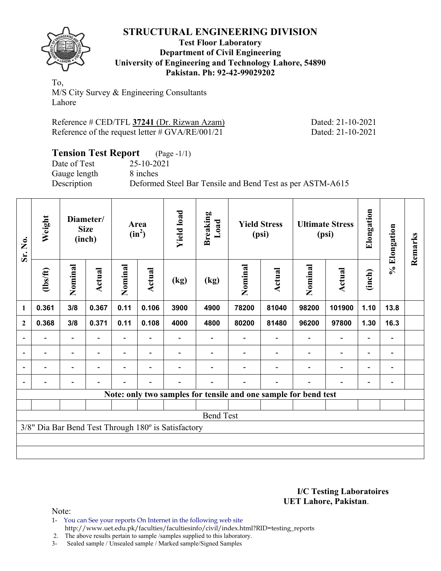

### **Test Floor Laboratory Department of Civil Engineering University of Engineering and Technology Lahore, 54890 Pakistan. Ph: 92-42-99029202**

To, M/S City Survey & Engineering Consultants Lahore

| Reference # CED/TFL 37241 (Dr. Rizwan Azam)        |  |
|----------------------------------------------------|--|
| Reference of the request letter $\#$ GVA/RE/001/21 |  |

Dated: 21-10-2021 Dated: 21-10-2021

| <b>Tension Test Report</b> (Page -1/1) |                                                           |
|----------------------------------------|-----------------------------------------------------------|
| Date of Test                           | 25-10-2021                                                |
| Gauge length                           | 8 inches                                                  |
| Description                            | Deformed Steel Bar Tensile and Bend Test as per ASTM-A615 |

| Sr. No.                  | Weight   |                          | Diameter/<br><b>Size</b><br>(inch) |                          | Area<br>$(in^2)$         | <b>Yield load</b>                                   | <b>Breaking</b><br>Load |                                                                 | <b>Yield Stress</b><br>(psi) |         | <b>Ultimate Stress</b><br>(psi) | Elongation               | % Elongation                 | Remarks |
|--------------------------|----------|--------------------------|------------------------------------|--------------------------|--------------------------|-----------------------------------------------------|-------------------------|-----------------------------------------------------------------|------------------------------|---------|---------------------------------|--------------------------|------------------------------|---------|
|                          | (1bs/ft) | Nominal                  | <b>Actual</b>                      | Nominal                  | Actual                   | (kg)                                                | (kg)                    | Nominal                                                         | <b>Actual</b>                | Nominal | <b>Actual</b>                   | (inch)                   |                              |         |
| 1                        | 0.361    | 3/8                      | 0.367                              | 0.11                     | 0.106                    | 3900                                                | 4900                    | 78200                                                           | 81040                        | 98200   | 101900                          | 1.10                     | 13.8                         |         |
| $\overline{2}$           | 0.368    | 3/8                      | 0.371                              | 0.11                     | 0.108                    | 4000                                                | 4800                    | 80200                                                           | 81480                        | 96200   | 97800                           | 1.30                     | 16.3                         |         |
|                          |          |                          |                                    |                          |                          |                                                     |                         |                                                                 |                              |         |                                 |                          | $\qquad \qquad \blacksquare$ |         |
| $\overline{\phantom{0}}$ |          | $\overline{\phantom{0}}$ |                                    |                          | $\overline{\phantom{0}}$ |                                                     |                         |                                                                 |                              |         |                                 | $\overline{\phantom{0}}$ | $\qquad \qquad =$            |         |
|                          |          | $\overline{\phantom{0}}$ |                                    | $\overline{\phantom{0}}$ | $\overline{\phantom{0}}$ |                                                     |                         |                                                                 |                              |         | ٠                               | $\overline{\phantom{0}}$ | $\overline{\phantom{0}}$     |         |
|                          |          | $\overline{\phantom{0}}$ |                                    | $\blacksquare$           | $\overline{\phantom{0}}$ |                                                     |                         |                                                                 |                              |         | $\overline{\phantom{0}}$        |                          |                              |         |
|                          |          |                          |                                    |                          |                          |                                                     |                         | Note: only two samples for tensile and one sample for bend test |                              |         |                                 |                          |                              |         |
|                          |          |                          |                                    |                          |                          |                                                     |                         |                                                                 |                              |         |                                 |                          |                              |         |
|                          |          |                          |                                    |                          |                          |                                                     | <b>Bend Test</b>        |                                                                 |                              |         |                                 |                          |                              |         |
|                          |          |                          |                                    |                          |                          | 3/8" Dia Bar Bend Test Through 180° is Satisfactory |                         |                                                                 |                              |         |                                 |                          |                              |         |
|                          |          |                          |                                    |                          |                          |                                                     |                         |                                                                 |                              |         |                                 |                          |                              |         |
|                          |          |                          |                                    |                          |                          |                                                     |                         |                                                                 |                              |         |                                 |                          |                              |         |

### **I/C Testing Laboratoires UET Lahore, Pakistan**.

Note:

1- You can See your reports On Internet in the following web site http://www.uet.edu.pk/faculties/facultiesinfo/civil/index.html?RID=testing\_reports

2. The above results pertain to sample /samples supplied to this laboratory.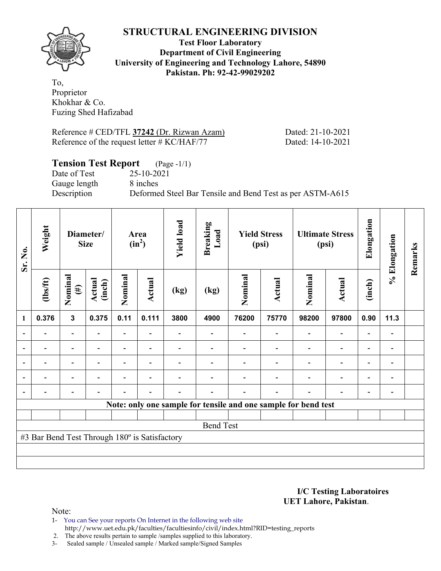

**Test Floor Laboratory Department of Civil Engineering University of Engineering and Technology Lahore, 54890 Pakistan. Ph: 92-42-99029202** 

To, Proprietor Khokhar & Co. Fuzing Shed Hafizabad

Reference # CED/TFL **37242** (Dr. Rizwan Azam) Dated: 21-10-2021 Reference of the request letter # KC/HAF/77 Dated: 14-10-2021

### **Tension Test Report** (Page -1/1)

Date of Test 25-10-2021 Gauge length 8 inches

Description Deformed Steel Bar Tensile and Bend Test as per ASTM-A615

| Sr. No. | Weight                                        |                                                       | Diameter/<br><b>Size</b> |                          | Area<br>$(in^2)$         | <b>Yield load</b> | <b>Breaking</b><br>Load |         | <b>Yield Stress</b><br>(psi)                                   |                          | <b>Ultimate Stress</b><br>(psi) | Elongation               | % Elongation                 | Remarks |
|---------|-----------------------------------------------|-------------------------------------------------------|--------------------------|--------------------------|--------------------------|-------------------|-------------------------|---------|----------------------------------------------------------------|--------------------------|---------------------------------|--------------------------|------------------------------|---------|
|         | (1bs/ft)                                      | Nominal<br>Actual<br>(inch)<br>$(\#)$<br>$\mathbf{3}$ |                          | Nominal                  | Actual                   | (kg)              | (kg)                    | Nominal | Actual                                                         | Nominal                  | Actual                          | (inch)                   |                              |         |
| 1       | 0.376                                         |                                                       | 0.375                    | 0.11                     | 0.111                    | 3800              | 4900                    | 76200   | 75770                                                          | 98200                    | 97800                           | 0.90                     | 11.3                         |         |
|         |                                               | $\overline{\phantom{0}}$                              |                          | $\overline{\phantom{0}}$ |                          |                   |                         |         |                                                                | $\overline{\phantom{0}}$ | $\qquad \qquad \blacksquare$    | -                        |                              |         |
|         | $\overline{\phantom{0}}$                      | $\overline{\phantom{a}}$                              | $\blacksquare$           | $\overline{\phantom{0}}$ | $\blacksquare$           |                   |                         |         | $\overline{\phantom{0}}$                                       | $\overline{\phantom{0}}$ | $\qquad \qquad \blacksquare$    | $\overline{\phantom{a}}$ | $\qquad \qquad \blacksquare$ |         |
|         |                                               | $\overline{\phantom{0}}$                              |                          |                          | ٠                        |                   |                         |         |                                                                |                          | $\overline{\phantom{0}}$        | $\overline{\phantom{0}}$ | $\overline{\phantom{0}}$     |         |
|         |                                               | $\overline{\phantom{0}}$                              |                          |                          |                          |                   |                         |         |                                                                |                          | $\qquad \qquad \blacksquare$    | -                        | $\qquad \qquad \blacksquare$ |         |
|         |                                               |                                                       |                          |                          | $\overline{\phantom{0}}$ |                   |                         |         | $\overline{\phantom{0}}$                                       | ٠                        | $\overline{\phantom{0}}$        | -                        | $\qquad \qquad \blacksquare$ |         |
|         |                                               |                                                       |                          |                          |                          |                   |                         |         | Note: only one sample for tensile and one sample for bend test |                          |                                 |                          |                              |         |
|         |                                               |                                                       |                          |                          |                          |                   |                         |         |                                                                |                          |                                 |                          |                              |         |
|         |                                               |                                                       |                          |                          |                          |                   | <b>Bend Test</b>        |         |                                                                |                          |                                 |                          |                              |         |
|         | #3 Bar Bend Test Through 180° is Satisfactory |                                                       |                          |                          |                          |                   |                         |         |                                                                |                          |                                 |                          |                              |         |
|         |                                               |                                                       |                          |                          |                          |                   |                         |         |                                                                |                          |                                 |                          |                              |         |
|         |                                               |                                                       |                          |                          |                          |                   |                         |         |                                                                |                          |                                 |                          |                              |         |

**I/C Testing Laboratoires UET Lahore, Pakistan**.

Note:

1- You can See your reports On Internet in the following web site http://www.uet.edu.pk/faculties/facultiesinfo/civil/index.html?RID=testing\_reports

2. The above results pertain to sample /samples supplied to this laboratory.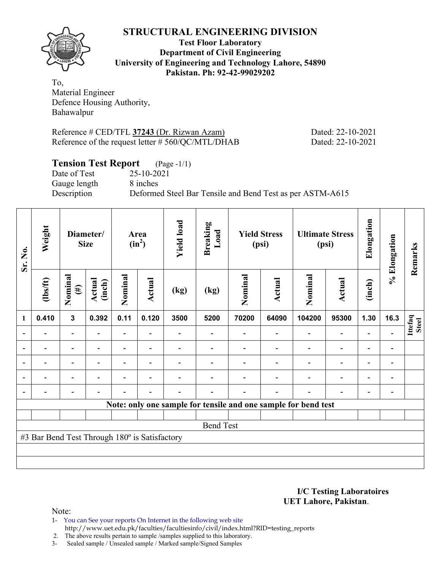

**Test Floor Laboratory Department of Civil Engineering University of Engineering and Technology Lahore, 54890 Pakistan. Ph: 92-42-99029202** 

To, Material Engineer Defence Housing Authority, Bahawalpur

Reference # CED/TFL **37243** (Dr. Rizwan Azam) Dated: 22-10-2021 Reference of the request letter # 560/QC/MTL/DHAB Dated: 22-10-2021

## **Tension Test Report** (Page -1/1)

Date of Test 25-10-2021 Gauge length 8 inches

Description Deformed Steel Bar Tensile and Bend Test as per ASTM-A615

| Sr. No.        | Weight                                        |                          | Diameter/<br><b>Size</b> |                          | Area<br>$(in^2)$         | <b>Yield load</b> | <b>Breaking</b><br>Load |         | <b>Yield Stress</b><br>(psi) |                                                                | <b>Ultimate Stress</b><br>(psi) | Elongation                   | % Elongation                 | Remarks          |
|----------------|-----------------------------------------------|--------------------------|--------------------------|--------------------------|--------------------------|-------------------|-------------------------|---------|------------------------------|----------------------------------------------------------------|---------------------------------|------------------------------|------------------------------|------------------|
|                | (1bs/ft)                                      | Nominal<br>$(\#)$        | Actual<br>(inch)         | Nominal                  | <b>Actual</b>            | (kg)              | (kg)                    | Nominal | Actual                       | Nominal                                                        | <b>Actual</b>                   | (inch)                       |                              |                  |
| 1              | 0.410                                         | $\mathbf{3}$             | 0.392                    | 0.11                     | 0.120                    | 3500              | 5200                    | 70200   | 64090                        | 104200                                                         | 95300                           | 1.30                         | 16.3                         | Ittefaq<br>Steel |
| $\blacksquare$ |                                               | $\overline{\phantom{0}}$ | $\blacksquare$           | $\overline{\phantom{0}}$ |                          |                   |                         |         |                              |                                                                | $\overline{\phantom{0}}$        | $\overline{\phantom{0}}$     |                              |                  |
|                |                                               | $\overline{\phantom{0}}$ |                          |                          |                          |                   |                         |         |                              |                                                                | $\overline{\phantom{0}}$        | $\overline{\phantom{0}}$     |                              |                  |
| $\overline{a}$ |                                               | $\overline{\phantom{0}}$ |                          |                          | $\overline{\phantom{0}}$ |                   |                         |         |                              |                                                                | $\overline{a}$                  | $\qquad \qquad \blacksquare$ | $\qquad \qquad \blacksquare$ |                  |
| $\blacksquare$ | -                                             | Ξ.                       | $\blacksquare$           | ۳                        | $\overline{\phantom{a}}$ |                   |                         |         |                              | $\overline{\phantom{0}}$                                       | $\overline{a}$                  | $\overline{\phantom{0}}$     | $\overline{\phantom{0}}$     |                  |
|                | -                                             | $\overline{\phantom{0}}$ |                          |                          | $\blacksquare$           | -                 |                         |         | ۰                            | $\blacksquare$                                                 | $\overline{a}$                  | $\overline{\phantom{a}}$     | $\qquad \qquad \blacksquare$ |                  |
|                |                                               |                          |                          |                          |                          |                   |                         |         |                              | Note: only one sample for tensile and one sample for bend test |                                 |                              |                              |                  |
|                |                                               |                          |                          |                          |                          |                   |                         |         |                              |                                                                |                                 |                              |                              |                  |
|                | <b>Bend Test</b>                              |                          |                          |                          |                          |                   |                         |         |                              |                                                                |                                 |                              |                              |                  |
|                | #3 Bar Bend Test Through 180° is Satisfactory |                          |                          |                          |                          |                   |                         |         |                              |                                                                |                                 |                              |                              |                  |
|                |                                               |                          |                          |                          |                          |                   |                         |         |                              |                                                                |                                 |                              |                              |                  |
|                |                                               |                          |                          |                          |                          |                   |                         |         |                              |                                                                |                                 |                              |                              |                  |

**I/C Testing Laboratoires UET Lahore, Pakistan**.

- 1- You can See your reports On Internet in the following web site http://www.uet.edu.pk/faculties/facultiesinfo/civil/index.html?RID=testing\_reports
- 2. The above results pertain to sample /samples supplied to this laboratory.
- 3- Sealed sample / Unsealed sample / Marked sample/Signed Samples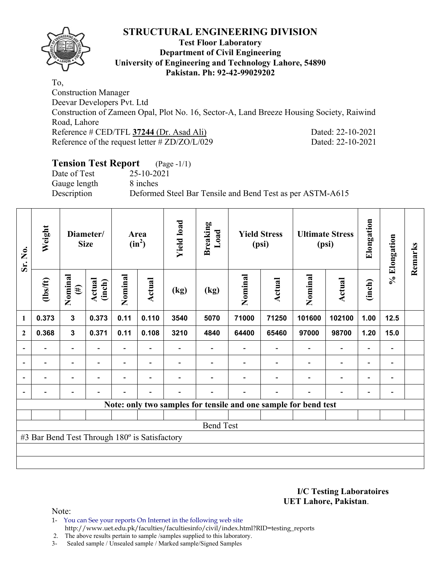

### **Test Floor Laboratory Department of Civil Engineering University of Engineering and Technology Lahore, 54890 Pakistan. Ph: 92-42-99029202**

To, Construction Manager Deevar Developers Pvt. Ltd Construction of Zameen Opal, Plot No. 16, Sector-A, Land Breeze Housing Society, Raiwind Road, Lahore Reference # CED/TFL **37244** (Dr. Asad Ali) Dated: 22-10-2021 Reference of the request letter # ZD/ZO/L/029 Dated: 22-10-2021

## **Tension Test Report** (Page -1/1)

Date of Test 25-10-2021 Gauge length 8 inches

Description Deformed Steel Bar Tensile and Bend Test as per ASTM-A615

| Sr. No.          | Weight                                        |                          | Diameter/<br><b>Size</b> |                          | Area<br>$(in^2)$         | <b>Yield load</b> | <b>Breaking</b><br>Load                                         |         | <b>Yield Stress</b><br>(psi) |                          | <b>Ultimate Stress</b><br>(psi) | Elongation               | % Elongation                 | Remarks |
|------------------|-----------------------------------------------|--------------------------|--------------------------|--------------------------|--------------------------|-------------------|-----------------------------------------------------------------|---------|------------------------------|--------------------------|---------------------------------|--------------------------|------------------------------|---------|
|                  | $\frac{2}{10}$                                | Nominal<br>$(\#)$        | Actual<br>(inch)         | Nominal                  | Actual                   | (kg)              | (kg)                                                            | Nominal | <b>Actual</b>                | Nominal                  | <b>Actual</b>                   | (inch)                   |                              |         |
| 1                | 0.373                                         | $\mathbf{3}$             | 0.373                    | 0.11                     | 0.110                    | 3540              | 5070                                                            | 71000   | 71250                        | 101600                   | 102100                          | 1.00                     | $12.5$                       |         |
| $\boldsymbol{2}$ | 0.368                                         | $\mathbf 3$              | 0.371                    | 0.11                     | 0.108                    | 3210              | 4840                                                            | 64400   | 65460                        | 97000                    | 98700                           | 1.20                     | 15.0                         |         |
|                  |                                               | $\overline{\phantom{0}}$ |                          |                          |                          |                   |                                                                 |         |                              |                          |                                 |                          | $\qquad \qquad =$            |         |
| $\blacksquare$   | $\overline{\phantom{0}}$                      | $\overline{\phantom{a}}$ | $\overline{\phantom{a}}$ | -                        | $\blacksquare$           |                   |                                                                 |         |                              | $\overline{\phantom{a}}$ | $\overline{\phantom{a}}$        | $\overline{\phantom{a}}$ | $\qquad \qquad =$            |         |
|                  | $\blacksquare$                                | $\overline{\phantom{0}}$ | $\blacksquare$           | $\overline{\phantom{0}}$ | $\overline{\phantom{a}}$ |                   |                                                                 |         |                              |                          | $\overline{\phantom{a}}$        | $\overline{\phantom{0}}$ | $\qquad \qquad \blacksquare$ |         |
|                  | $\overline{\phantom{0}}$                      | $\overline{\phantom{0}}$ | -                        | $\overline{\phantom{0}}$ | $\overline{\phantom{a}}$ |                   | $\overline{a}$                                                  |         | $\overline{\phantom{0}}$     | $\overline{\phantom{0}}$ | ٠                               | $\overline{\phantom{0}}$ | $\overline{a}$               |         |
|                  |                                               |                          |                          |                          |                          |                   | Note: only two samples for tensile and one sample for bend test |         |                              |                          |                                 |                          |                              |         |
|                  |                                               |                          |                          |                          |                          |                   |                                                                 |         |                              |                          |                                 |                          |                              |         |
|                  |                                               |                          |                          |                          |                          |                   | <b>Bend Test</b>                                                |         |                              |                          |                                 |                          |                              |         |
|                  | #3 Bar Bend Test Through 180° is Satisfactory |                          |                          |                          |                          |                   |                                                                 |         |                              |                          |                                 |                          |                              |         |
|                  |                                               |                          |                          |                          |                          |                   |                                                                 |         |                              |                          |                                 |                          |                              |         |
|                  |                                               |                          |                          |                          |                          |                   |                                                                 |         |                              |                          |                                 |                          |                              |         |

**I/C Testing Laboratoires UET Lahore, Pakistan**.

Note:

1- You can See your reports On Internet in the following web site http://www.uet.edu.pk/faculties/facultiesinfo/civil/index.html?RID=testing\_reports

2. The above results pertain to sample /samples supplied to this laboratory.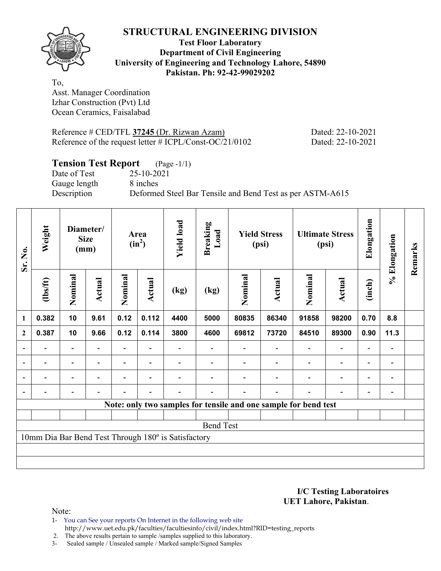

### **Test Floor Laboratory Department of Civil Engineering University of Engineering and Technology Lahore, 54890 Pakistan. Ph: 92-42-99029202**

To, Asst. Manager Coordination Izhar Construction (Pvt) Ltd Ocean Ceramics, Faisalabad

Reference # CED/TFL **37245** (Dr. Rizwan Azam) Dated: 22-10-2021 Reference of the request letter # ICPL/Const-OC/21/0102 Dated: 22-10-2021

# **Tension Test Report** (Page -1/1)<br>Date of Test 25-10-2021

Date of Test Gauge length 8 inches

Description Deformed Steel Bar Tensile and Bend Test as per ASTM-A615

| Sr. No.          | Weight   |                                                                 | Diameter/<br><b>Size</b><br>(mm) |                | Area<br>$(in^2)$         | <b>Yield load</b>                                   | <b>Breaking</b><br>Load |         | <b>Yield Stress</b><br>(psi) |                          | <b>Ultimate Stress</b><br>(psi) | Elongation               | % Elongation   | Remarks |
|------------------|----------|-----------------------------------------------------------------|----------------------------------|----------------|--------------------------|-----------------------------------------------------|-------------------------|---------|------------------------------|--------------------------|---------------------------------|--------------------------|----------------|---------|
|                  | (1bs/ft) | Nominal                                                         | Actual                           | Nominal        | <b>Actual</b>            | (kg)                                                | (kg)                    | Nominal | Actual                       | Nominal                  | Actual                          | (inch)<br>8.8            |                |         |
| $\mathbf{1}$     | 0.382    | 10                                                              | 9.61                             | 0.12           | 0.112                    | 4400                                                | 5000                    | 80835   | 86340                        | 91858                    | 98200                           | 0.70                     |                |         |
| $\boldsymbol{2}$ | 0.387    | 10                                                              | 9.66                             | 0.12           | 0.114                    | 3800                                                | 4600                    | 69812   | 73720                        | 84510                    | 89300                           | 0.90                     | 11.3           |         |
| $\blacksquare$   |          | Ξ.                                                              |                                  |                |                          |                                                     |                         |         |                              |                          | $\blacksquare$                  | $\overline{\phantom{0}}$ |                |         |
| $\overline{a}$   | -        | $\blacksquare$                                                  | $\overline{\phantom{a}}$         | Ξ.             | $\overline{\phantom{a}}$ |                                                     |                         |         | $\overline{\phantom{a}}$     | $\overline{\phantom{a}}$ | $\overline{\phantom{a}}$        | $\qquad \qquad -$        | $\blacksquare$ |         |
|                  | Ξ.       | Ξ.                                                              | ۰                                | $\overline{a}$ | $\blacksquare$           |                                                     |                         |         |                              | ÷                        | $\overline{a}$                  | $\overline{\phantom{a}}$ | $\blacksquare$ |         |
|                  |          | $\overline{\phantom{a}}$                                        | $\overline{\phantom{0}}$         | $\overline{a}$ | $\blacksquare$           |                                                     |                         |         | $\overline{\phantom{a}}$     | $\overline{\phantom{a}}$ | $\overline{a}$                  | $\overline{\phantom{a}}$ |                |         |
|                  |          | Note: only two samples for tensile and one sample for bend test |                                  |                |                          |                                                     |                         |         |                              |                          |                                 |                          |                |         |
|                  |          |                                                                 |                                  |                |                          |                                                     |                         |         |                              |                          |                                 |                          |                |         |
|                  |          |                                                                 |                                  |                |                          |                                                     | <b>Bend Test</b>        |         |                              |                          |                                 |                          |                |         |
|                  |          |                                                                 |                                  |                |                          | 10mm Dia Bar Bend Test Through 180° is Satisfactory |                         |         |                              |                          |                                 |                          |                |         |
|                  |          |                                                                 |                                  |                |                          |                                                     |                         |         |                              |                          |                                 |                          |                |         |
|                  |          |                                                                 |                                  |                |                          |                                                     |                         |         |                              |                          |                                 |                          |                |         |

**I/C Testing Laboratoires UET Lahore, Pakistan**.

Note:

1- You can See your reports On Internet in the following web site http://www.uet.edu.pk/faculties/facultiesinfo/civil/index.html?RID=testing\_reports

2. The above results pertain to sample /samples supplied to this laboratory.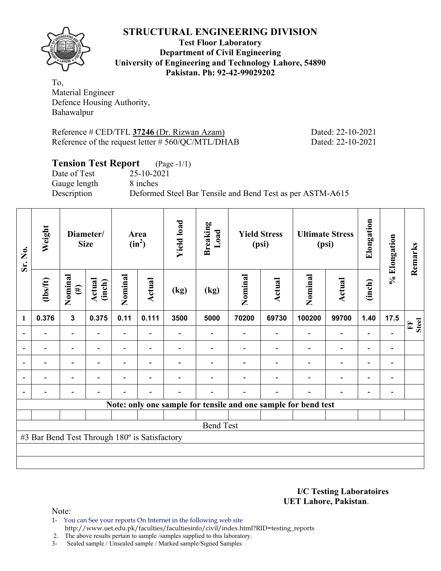

**Test Floor Laboratory Department of Civil Engineering University of Engineering and Technology Lahore, 54890 Pakistan. Ph: 92-42-99029202** 

To, Material Engineer Defence Housing Authority, Bahawalpur

Reference # CED/TFL **37246** (Dr. Rizwan Azam) Dated: 22-10-2021 Reference of the request letter # 560/QC/MTL/DHAB Dated: 22-10-2021

## **Tension Test Report** (Page -1/1)

Date of Test 25-10-2021 Gauge length 8 inches

Description Deformed Steel Bar Tensile and Bend Test as per ASTM-A615

| Sr. No.        | Weight                                        |                          | Diameter/<br><b>Size</b> |                          | Area<br>$(in^2)$         | <b>Yield load</b> | <b>Breaking</b><br>Load |         | <b>Yield Stress</b><br>(psi) |                                                                | <b>Ultimate Stress</b><br>(psi) | Elongation               | % Elongation             | Remarks           |
|----------------|-----------------------------------------------|--------------------------|--------------------------|--------------------------|--------------------------|-------------------|-------------------------|---------|------------------------------|----------------------------------------------------------------|---------------------------------|--------------------------|--------------------------|-------------------|
|                | $\frac{2}{10}$                                | Nominal<br>$(\#)$        | Actual<br>(inch)         | Nominal                  | Actual                   | (kg)              | (kg)                    | Nominal | <b>Actual</b>                | Nominal                                                        | Actual                          | (inch)                   |                          |                   |
| 1              | 0.376                                         | $\mathbf{3}$             | 0.375                    | 0.11                     | 0.111                    | 3500              | 5000                    | 70200   | 69730                        | 100200                                                         | 99700                           | 1.40                     | 17.5                     | <b>Steel</b><br>Ě |
|                |                                               | $\overline{\phantom{a}}$ | $\overline{a}$           | $\overline{\phantom{0}}$ |                          |                   |                         |         | $\overline{\phantom{a}}$     |                                                                | $\overline{\phantom{0}}$        |                          |                          |                   |
|                |                                               | Ξ.                       |                          |                          |                          |                   |                         |         |                              |                                                                | $\overline{\phantom{0}}$        | $\overline{\phantom{0}}$ | $\overline{\phantom{a}}$ |                   |
| $\blacksquare$ |                                               | $\overline{\phantom{0}}$ |                          |                          | $\blacksquare$           |                   |                         |         |                              |                                                                | $\overline{\phantom{0}}$        | $\blacksquare$           | $\blacksquare$           |                   |
| $\blacksquare$ | $\blacksquare$                                | Ξ.                       |                          |                          |                          |                   |                         |         |                              | $\blacksquare$                                                 | $\overline{\phantom{0}}$        | $\blacksquare$           | $\blacksquare$           |                   |
| $\blacksquare$ | -                                             | $\overline{\phantom{0}}$ |                          |                          | $\overline{\phantom{a}}$ |                   |                         |         | $\blacksquare$               | $\blacksquare$                                                 | $\overline{\phantom{0}}$        | $\overline{\phantom{0}}$ |                          |                   |
|                |                                               |                          |                          |                          |                          |                   |                         |         |                              | Note: only one sample for tensile and one sample for bend test |                                 |                          |                          |                   |
|                |                                               |                          |                          |                          |                          |                   |                         |         |                              |                                                                |                                 |                          |                          |                   |
|                |                                               |                          |                          |                          |                          |                   | <b>Bend Test</b>        |         |                              |                                                                |                                 |                          |                          |                   |
|                | #3 Bar Bend Test Through 180° is Satisfactory |                          |                          |                          |                          |                   |                         |         |                              |                                                                |                                 |                          |                          |                   |
|                |                                               |                          |                          |                          |                          |                   |                         |         |                              |                                                                |                                 |                          |                          |                   |
|                |                                               |                          |                          |                          |                          |                   |                         |         |                              |                                                                |                                 |                          |                          |                   |

**I/C Testing Laboratoires UET Lahore, Pakistan**.

Note:

1- You can See your reports On Internet in the following web site http://www.uet.edu.pk/faculties/facultiesinfo/civil/index.html?RID=testing\_reports

2. The above results pertain to sample /samples supplied to this laboratory.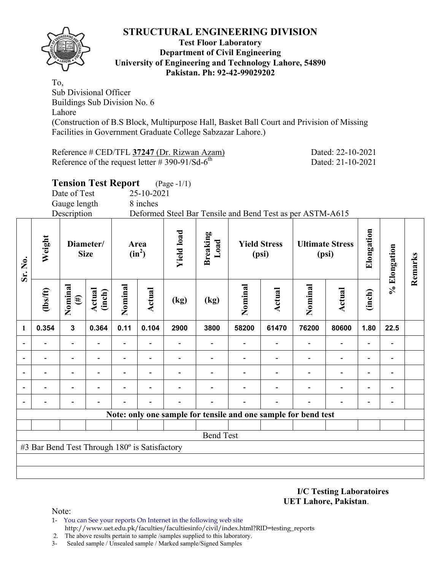

### **Test Floor Laboratory Department of Civil Engineering University of Engineering and Technology Lahore, 54890 Pakistan. Ph: 92-42-99029202**

To, Sub Divisional Officer Buildings Sub Division No. 6 Lahore (Construction of B.S Block, Multipurpose Hall, Basket Ball Court and Privision of Missing Facilities in Government Graduate College Sabzazar Lahore.)

Reference # CED/TFL **37247** (Dr. Rizwan Azam) Dated: 22-10-2021 Reference of the request letter  $# 390-91/Sd-6^{th}$  Dated: 21-10-2021

|                                                                          |              |                          | <b>Tension Test Report</b> |            | $(Page - 1/1)$         |                    |  |                              |  |                                 |               |
|--------------------------------------------------------------------------|--------------|--------------------------|----------------------------|------------|------------------------|--------------------|--|------------------------------|--|---------------------------------|---------------|
|                                                                          | Date of Test |                          |                            | 25-10-2021 |                        |                    |  |                              |  |                                 |               |
|                                                                          | Gauge length |                          |                            | 8 inches   |                        |                    |  |                              |  |                                 |               |
| Description<br>Deformed Steel Bar Tensile and Bend Test as per ASTM-A615 |              |                          |                            |            |                        |                    |  |                              |  |                                 |               |
| Weight                                                                   |              | Diameter/<br><b>Size</b> | $(in^2)$                   | Area       | $_{\rm load}$<br>Yield | Breaking<br>्<br>ब |  | <b>Yield Stress</b><br>(psi) |  | <b>Ultimate Stress</b><br>(psi) | ngati<br>Eloi |
|                                                                          |              |                          |                            |            |                        |                    |  |                              |  |                                 |               |

| Sr. No.                  | Weigl                                         | Diameter/         | <b>Size</b>      |         | Area<br>$(in^2)$         | <b>Yield le</b> | <b>Breaki</b><br>Load |                                                                | <b>Yield Stress</b><br>(psi) |         | <b>Ultimate Stress</b><br>(psi) | Elongat | % Elongation             | Remarks |
|--------------------------|-----------------------------------------------|-------------------|------------------|---------|--------------------------|-----------------|-----------------------|----------------------------------------------------------------|------------------------------|---------|---------------------------------|---------|--------------------------|---------|
|                          | $\frac{2}{10}$                                | Nominal<br>$(\#)$ | Actual<br>(inch) | Nominal | Actual                   | (kg)            | (kg)                  | Nominal                                                        | Actual                       | Nominal | Actual                          | (inch)  |                          |         |
| 1                        | 0.354                                         | $\mathbf{3}$      | 0.364            | 0.11    | 0.104                    | 2900            | 3800                  | 58200                                                          | 61470                        | 76200   | 80600                           | 1.80    | 22.5                     |         |
|                          |                                               |                   |                  |         |                          |                 |                       |                                                                |                              |         |                                 |         |                          |         |
| $\overline{\phantom{a}}$ |                                               |                   |                  |         | $\overline{\phantom{0}}$ |                 |                       |                                                                |                              |         |                                 |         | -                        |         |
| $\overline{\phantom{a}}$ |                                               |                   |                  |         | -                        |                 |                       |                                                                |                              |         |                                 |         | $\overline{\phantom{0}}$ |         |
|                          |                                               |                   |                  |         |                          |                 |                       |                                                                |                              |         |                                 |         |                          |         |
|                          |                                               |                   |                  |         | $\overline{\phantom{0}}$ |                 |                       |                                                                |                              |         |                                 |         | $\overline{\phantom{0}}$ |         |
|                          |                                               |                   |                  |         |                          |                 |                       | Note: only one sample for tensile and one sample for bend test |                              |         |                                 |         |                          |         |
|                          |                                               |                   |                  |         |                          |                 |                       |                                                                |                              |         |                                 |         |                          |         |
|                          |                                               |                   |                  |         |                          |                 | <b>Bend Test</b>      |                                                                |                              |         |                                 |         |                          |         |
|                          | #3 Bar Bend Test Through 180° is Satisfactory |                   |                  |         |                          |                 |                       |                                                                |                              |         |                                 |         |                          |         |
|                          |                                               |                   |                  |         |                          |                 |                       |                                                                |                              |         |                                 |         |                          |         |
|                          |                                               |                   |                  |         |                          |                 |                       |                                                                |                              |         |                                 |         |                          |         |

**I/C Testing Laboratoires UET Lahore, Pakistan**.

- 1- You can See your reports On Internet in the following web site http://www.uet.edu.pk/faculties/facultiesinfo/civil/index.html?RID=testing\_reports
- 2. The above results pertain to sample /samples supplied to this laboratory.
- 3- Sealed sample / Unsealed sample / Marked sample/Signed Samples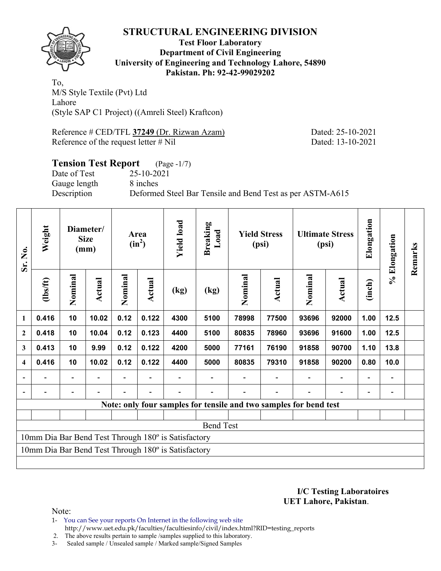

### **Test Floor Laboratory Department of Civil Engineering University of Engineering and Technology Lahore, 54890 Pakistan. Ph: 92-42-99029202**

To, M/S Style Textile (Pvt) Ltd Lahore (Style SAP C1 Project) ((Amreli Steel) Kraftcon)

Reference # CED/TFL **37249** (Dr. Rizwan Azam) Dated: 25-10-2021 Reference of the request letter # Nil Dated: 13-10-2021

### **Tension Test Report** (Page -1/7) Date of Test 25-10-2021

Gauge length 8 inches

Description Deformed Steel Bar Tensile and Bend Test as per ASTM-A615

| Weight<br>Sr. No.       |          | Diameter/<br><b>Size</b><br>(mm) |        | Area<br>$(in^2)$ | <b>Yield load</b> | <b>Breaking</b><br>Load                             |                                                                   | <b>Yield Stress</b><br>(psi) |        | <b>Ultimate Stress</b><br>(psi) | Elongation | % Elongation             | Remarks |  |
|-------------------------|----------|----------------------------------|--------|------------------|-------------------|-----------------------------------------------------|-------------------------------------------------------------------|------------------------------|--------|---------------------------------|------------|--------------------------|---------|--|
|                         | (1bs/ft) | Nominal                          | Actual | Nominal          | Actual            | (kg)                                                | (kg)                                                              | Nominal                      | Actual | Nominal                         | Actual     | (inch)                   |         |  |
| 1                       | 0.416    | 10                               | 10.02  | 0.12             | 0.122             | 4300                                                | 5100                                                              | 78998                        | 77500  | 93696                           | 92000      | 1.00                     | 12.5    |  |
| $\boldsymbol{2}$        | 0.418    | 10                               | 10.04  | 0.12             | 0.123             | 4400                                                | 5100                                                              | 80835                        | 78960  | 93696                           | 91600      | 1.00                     | 12.5    |  |
| 3                       | 0.413    | 10                               | 9.99   | 0.12             | 0.122             | 4200                                                | 5000                                                              | 77161                        | 76190  | 91858                           | 90700      | 1.10                     | 13.8    |  |
| $\overline{\mathbf{4}}$ | 0.416    | 10                               | 10.02  | 0.12             | 0.122             | 4400                                                | 5000                                                              | 80835                        | 79310  | 91858                           | 90200      | 0.80                     | 10.0    |  |
|                         |          | $\overline{\phantom{0}}$         |        |                  |                   |                                                     |                                                                   |                              |        |                                 |            | $\overline{\phantom{0}}$ |         |  |
|                         |          | $\qquad \qquad -$                |        |                  |                   |                                                     |                                                                   |                              |        |                                 |            | $\overline{a}$           |         |  |
|                         |          |                                  |        |                  |                   |                                                     | Note: only four samples for tensile and two samples for bend test |                              |        |                                 |            |                          |         |  |
|                         |          |                                  |        |                  |                   |                                                     |                                                                   |                              |        |                                 |            |                          |         |  |
|                         |          |                                  |        |                  |                   |                                                     | <b>Bend Test</b>                                                  |                              |        |                                 |            |                          |         |  |
|                         |          |                                  |        |                  |                   | 10mm Dia Bar Bend Test Through 180° is Satisfactory |                                                                   |                              |        |                                 |            |                          |         |  |
|                         |          |                                  |        |                  |                   | 10mm Dia Bar Bend Test Through 180° is Satisfactory |                                                                   |                              |        |                                 |            |                          |         |  |
|                         |          |                                  |        |                  |                   |                                                     |                                                                   |                              |        |                                 |            |                          |         |  |

**I/C Testing Laboratoires UET Lahore, Pakistan**.

Note:

1- You can See your reports On Internet in the following web site http://www.uet.edu.pk/faculties/facultiesinfo/civil/index.html?RID=testing\_reports

2. The above results pertain to sample /samples supplied to this laboratory.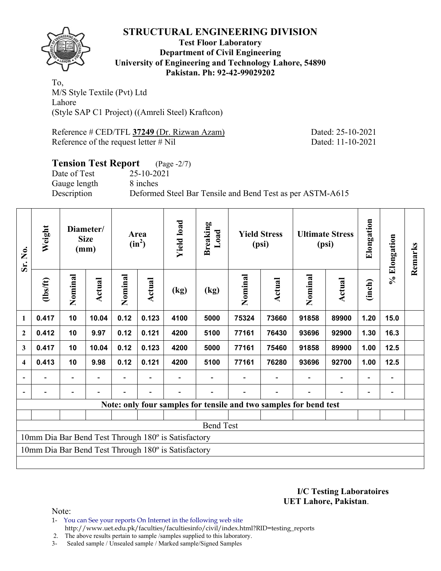

**Test Floor Laboratory Department of Civil Engineering University of Engineering and Technology Lahore, 54890 Pakistan. Ph: 92-42-99029202** 

To, M/S Style Textile (Pvt) Ltd Lahore (Style SAP C1 Project) ((Amreli Steel) Kraftcon)

Reference # CED/TFL **37249** (Dr. Rizwan Azam) Dated: 25-10-2021 Reference of the request letter # Nil Dated: 11-10-2021

### **Tension Test Report** (Page -2/7) Date of Test 25-10-2021

Gauge length 8 inches

Description Deformed Steel Bar Tensile and Bend Test as per ASTM-A615

| Weight<br>Sr. No.       |          | Diameter/<br><b>Size</b><br>(mm) |        | Area<br>$(in^2)$ | <b>Yield load</b> | <b>Breaking</b><br>Load                             |                                                                   | <b>Yield Stress</b><br>(psi) |        | <b>Ultimate Stress</b><br>(psi) | Elongation     | % Elongation   | Remarks |  |
|-------------------------|----------|----------------------------------|--------|------------------|-------------------|-----------------------------------------------------|-------------------------------------------------------------------|------------------------------|--------|---------------------------------|----------------|----------------|---------|--|
|                         | (lbs/ft) | Nominal                          | Actual | Nominal          | Actual            | (kg)                                                | (kg)                                                              | Nominal                      | Actual | Nominal                         | Actual         | (inch)         |         |  |
| 1                       | 0.417    | 10                               | 10.04  | 0.12             | 0.123             | 4100                                                | 5000                                                              | 75324                        | 73660  | 91858                           | 89900          | 1.20           | 15.0    |  |
| $\mathbf{2}$            | 0.412    | 10                               | 9.97   | 0.12             | 0.121             | 4200                                                | 5100                                                              | 77161                        | 76430  | 93696                           | 92900          | 1.30           | 16.3    |  |
| 3                       | 0.417    | 10                               | 10.04  | 0.12             | 0.123             | 4200                                                | 5000                                                              | 77161                        | 75460  | 91858                           | 89900          | 1.00           | 12.5    |  |
| $\overline{\mathbf{4}}$ | 0.413    | 10                               | 9.98   | 0.12             | 0.121             | 4200                                                | 5100                                                              | 77161                        | 76280  | 93696                           | 92700          | 1.00           | 12.5    |  |
|                         |          | $\overline{\phantom{0}}$         |        |                  |                   |                                                     |                                                                   |                              |        |                                 | $\blacksquare$ | $\blacksquare$ |         |  |
|                         |          |                                  |        |                  |                   |                                                     |                                                                   |                              |        |                                 |                |                |         |  |
|                         |          |                                  |        |                  |                   |                                                     | Note: only four samples for tensile and two samples for bend test |                              |        |                                 |                |                |         |  |
|                         |          |                                  |        |                  |                   |                                                     |                                                                   |                              |        |                                 |                |                |         |  |
|                         |          |                                  |        |                  |                   |                                                     | <b>Bend Test</b>                                                  |                              |        |                                 |                |                |         |  |
|                         |          |                                  |        |                  |                   | 10mm Dia Bar Bend Test Through 180° is Satisfactory |                                                                   |                              |        |                                 |                |                |         |  |
|                         |          |                                  |        |                  |                   | 10mm Dia Bar Bend Test Through 180° is Satisfactory |                                                                   |                              |        |                                 |                |                |         |  |
|                         |          |                                  |        |                  |                   |                                                     |                                                                   |                              |        |                                 |                |                |         |  |

**I/C Testing Laboratoires UET Lahore, Pakistan**.

Note:

1- You can See your reports On Internet in the following web site http://www.uet.edu.pk/faculties/facultiesinfo/civil/index.html?RID=testing\_reports

2. The above results pertain to sample /samples supplied to this laboratory.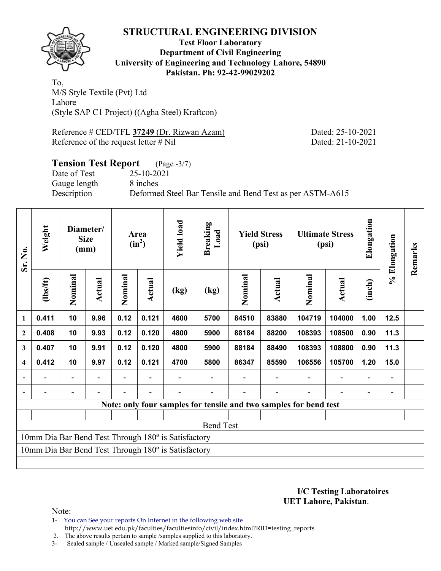

### **Test Floor Laboratory Department of Civil Engineering University of Engineering and Technology Lahore, 54890 Pakistan. Ph: 92-42-99029202**

To, M/S Style Textile (Pvt) Ltd Lahore (Style SAP C1 Project) ((Agha Steel) Kraftcon)

Reference # CED/TFL **37249** (Dr. Rizwan Azam) Dated: 25-10-2021 Reference of the request letter # Nil Dated: 21-10-2021

### **Tension Test Report** (Page -3/7) Date of Test 25-10-2021 Gauge length 8 inches Description Deformed Steel Bar Tensile and Bend Test as per ASTM-A615

| Sr. No.<br>$\mathbf{1}$<br>$\mathbf{2}$ | Weight                                                            |         | Diameter/<br><b>Size</b><br>(mm) |         | Area<br>$(in^2)$ | <b>Yield load</b>                                   | <b>Breaking</b><br>Load |         | <b>Yield Stress</b><br>(psi) |         | <b>Ultimate Stress</b><br>(psi) | Elongation                   | % Elongation | Remarks |
|-----------------------------------------|-------------------------------------------------------------------|---------|----------------------------------|---------|------------------|-----------------------------------------------------|-------------------------|---------|------------------------------|---------|---------------------------------|------------------------------|--------------|---------|
|                                         | (lbs/ft)                                                          | Nominal | Actual                           | Nominal | Actual           | (kg)                                                | (kg)                    | Nominal | Actual                       | Nominal | Actual                          | (inch)                       |              |         |
|                                         | 0.411                                                             | 10      | 9.96                             | 0.12    | 0.121            | 4600                                                | 5700                    | 84510   | 83880                        | 104719  | 104000                          | 1.00                         | 12.5         |         |
|                                         | 0.408                                                             | 10      | 9.93                             | 0.12    | 0.120            | 4800                                                | 5900                    | 88184   | 88200                        | 108393  | 108500                          | 0.90                         | 11.3         |         |
| 3                                       | 0.407                                                             | 10      | 9.91                             | 0.12    | 0.120            | 4800                                                | 5900                    | 88184   | 88490                        | 108393  | 108800                          | 0.90                         | 11.3         |         |
| 4                                       | 0.412                                                             | 10      | 9.97                             | 0.12    | 0.121            | 4700                                                | 5800                    | 86347   | 85590                        | 106556  | 105700                          | 1.20                         | 15.0         |         |
| $\blacksquare$                          |                                                                   |         |                                  |         |                  |                                                     |                         |         |                              |         | $\qquad \qquad -$               | $\qquad \qquad \blacksquare$ |              |         |
|                                         |                                                                   |         |                                  |         |                  |                                                     |                         |         |                              |         | $\overline{\phantom{0}}$        | $\overline{\phantom{0}}$     |              |         |
|                                         | Note: only four samples for tensile and two samples for bend test |         |                                  |         |                  |                                                     |                         |         |                              |         |                                 |                              |              |         |
|                                         |                                                                   |         |                                  |         |                  |                                                     |                         |         |                              |         |                                 |                              |              |         |
|                                         |                                                                   |         |                                  |         |                  |                                                     | <b>Bend Test</b>        |         |                              |         |                                 |                              |              |         |
|                                         |                                                                   |         |                                  |         |                  | 10mm Dia Bar Bend Test Through 180° is Satisfactory |                         |         |                              |         |                                 |                              |              |         |
|                                         |                                                                   |         |                                  |         |                  | 10mm Dia Bar Bend Test Through 180° is Satisfactory |                         |         |                              |         |                                 |                              |              |         |
|                                         |                                                                   |         |                                  |         |                  |                                                     |                         |         |                              |         |                                 |                              |              |         |

**I/C Testing Laboratoires UET Lahore, Pakistan**.

Note:

1- You can See your reports On Internet in the following web site http://www.uet.edu.pk/faculties/facultiesinfo/civil/index.html?RID=testing\_reports

2. The above results pertain to sample /samples supplied to this laboratory.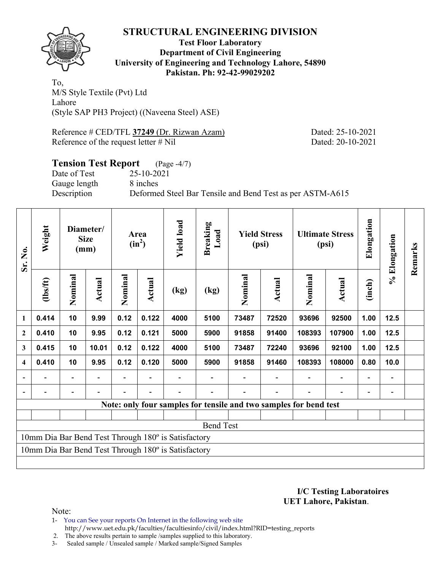

**Test Floor Laboratory Department of Civil Engineering University of Engineering and Technology Lahore, 54890 Pakistan. Ph: 92-42-99029202** 

To, M/S Style Textile (Pvt) Ltd Lahore (Style SAP PH3 Project) ((Naveena Steel) ASE)

Reference # CED/TFL **37249** (Dr. Rizwan Azam) Dated: 25-10-2021 Reference of the request letter # Nil Dated: 20-10-2021

### **Tension Test Report** (Page -4/7) Date of Test 25-10-2021 Gauge length 8 inches Description Deformed Steel Bar Tensile and Bend Test as per ASTM-A615

| Sr. No.<br>$\mathbf{1}$<br>$\mathbf{2}$ | Weight   |                                                                   | Diameter/<br><b>Size</b><br>(mm) |         | Area<br>$(in^2)$ | <b>Yield load</b>                                   | <b>Breaking</b><br>Load |         | <b>Yield Stress</b><br>(psi) |         | <b>Ultimate Stress</b><br>(psi) | Elongation               | % Elongation   | Remarks |
|-----------------------------------------|----------|-------------------------------------------------------------------|----------------------------------|---------|------------------|-----------------------------------------------------|-------------------------|---------|------------------------------|---------|---------------------------------|--------------------------|----------------|---------|
|                                         | (1bs/ft) | Nominal                                                           | Actual                           | Nominal | Actual           | (kg)                                                | (kg)                    | Nominal | <b>Actual</b>                | Nominal | <b>Actual</b>                   | (inch)                   |                |         |
|                                         | 0.414    | 10                                                                | 9.99                             | 0.12    | 0.122            | 4000                                                | 5100                    | 73487   | 72520                        | 93696   | 92500                           | 1.00                     | 12.5           |         |
|                                         | 0.410    | 10                                                                | 9.95                             | 0.12    | 0.121            | 5000                                                | 5900                    | 91858   | 91400                        | 108393  | 107900                          | 1.00                     | 12.5           |         |
| 3                                       | 0.415    | 10                                                                | 10.01                            | 0.12    | 0.122            | 4000                                                | 5100                    | 73487   | 72240                        | 93696   | 92100                           | 1.00                     | 12.5           |         |
| 4                                       | 0.410    | 10                                                                | 9.95                             | 0.12    | 0.120            | 5000                                                | 5900                    | 91858   | 91460                        | 108393  | 108000                          | 0.80                     | 10.0           |         |
| $\overline{\phantom{a}}$                |          |                                                                   |                                  |         |                  |                                                     |                         |         |                              |         | $\overline{a}$                  | $\overline{\phantom{0}}$ | $\blacksquare$ |         |
|                                         |          |                                                                   |                                  |         |                  |                                                     |                         |         |                              |         |                                 |                          |                |         |
|                                         |          | Note: only four samples for tensile and two samples for bend test |                                  |         |                  |                                                     |                         |         |                              |         |                                 |                          |                |         |
|                                         |          |                                                                   |                                  |         |                  |                                                     |                         |         |                              |         |                                 |                          |                |         |
|                                         |          |                                                                   |                                  |         |                  |                                                     | <b>Bend Test</b>        |         |                              |         |                                 |                          |                |         |
|                                         |          |                                                                   |                                  |         |                  | 10mm Dia Bar Bend Test Through 180° is Satisfactory |                         |         |                              |         |                                 |                          |                |         |
|                                         |          |                                                                   |                                  |         |                  | 10mm Dia Bar Bend Test Through 180° is Satisfactory |                         |         |                              |         |                                 |                          |                |         |
|                                         |          |                                                                   |                                  |         |                  |                                                     |                         |         |                              |         |                                 |                          |                |         |

**I/C Testing Laboratoires UET Lahore, Pakistan**.

Note:

1- You can See your reports On Internet in the following web site http://www.uet.edu.pk/faculties/facultiesinfo/civil/index.html?RID=testing\_reports

2. The above results pertain to sample /samples supplied to this laboratory.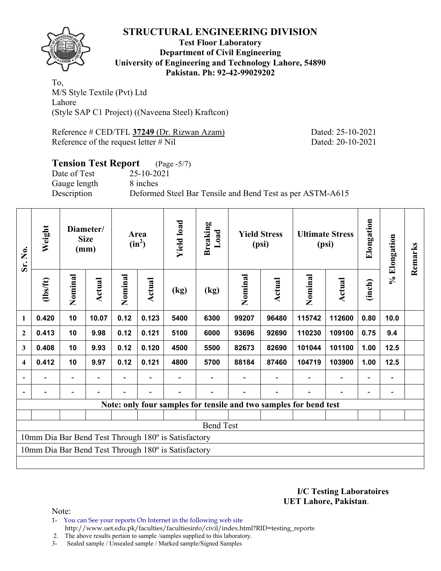

**Test Floor Laboratory Department of Civil Engineering University of Engineering and Technology Lahore, 54890 Pakistan. Ph: 92-42-99029202** 

To, M/S Style Textile (Pvt) Ltd Lahore (Style SAP C1 Project) ((Naveena Steel) Kraftcon)

Reference # CED/TFL **37249** (Dr. Rizwan Azam) Dated: 25-10-2021 Reference of the request letter # Nil Dated: 20-10-2021

# **Tension Test Report** (Page -5/7) Date of Test 25-10-2021

Gauge length 8 inches

Description Deformed Steel Bar Tensile and Bend Test as per ASTM-A615

| Sr. No.          | Weight<br>Diameter/<br><b>Size</b><br>(mm) |                          | Area<br>$(in^2)$ | <b>Yield load</b> | <b>Breaking</b><br>Load |                                                     | <b>Yield Stress</b><br>(psi)                                      |         | <b>Ultimate Stress</b><br>(psi) | Elongation | % Elongation | Remarks                  |      |  |
|------------------|--------------------------------------------|--------------------------|------------------|-------------------|-------------------------|-----------------------------------------------------|-------------------------------------------------------------------|---------|---------------------------------|------------|--------------|--------------------------|------|--|
|                  | (1bs/ft)                                   | Nominal                  | Actual           | Nominal           | Actual                  | (kg)                                                | (kg)                                                              | Nominal | Actual                          | Nominal    | Actual       | (inch)                   |      |  |
| 1                | 0.420                                      | 10                       | 10.07            | 0.12              | 0.123                   | 5400                                                | 6300                                                              | 99207   | 96480                           | 115742     | 112600       | 0.80                     | 10.0 |  |
| $\overline{2}$   | 0.413                                      | 10                       | 9.98             | 0.12              | 0.121                   | 5100                                                | 6000                                                              | 93696   | 92690                           | 110230     | 109100       | 0.75                     | 9.4  |  |
| 3                | 0.408                                      | 10                       | 9.93             | 0.12              | 0.120                   | 4500                                                | 5500                                                              | 82673   | 82690                           | 101044     | 101100       | 1.00                     | 12.5 |  |
| $\boldsymbol{4}$ | 0.412                                      | 10                       | 9.97             | 0.12              | 0.121                   | 4800                                                | 5700                                                              | 88184   | 87460                           | 104719     | 103900       | 1.00                     | 12.5 |  |
|                  |                                            | $\overline{\phantom{0}}$ |                  |                   |                         |                                                     |                                                                   |         |                                 |            |              | $\overline{\phantom{0}}$ |      |  |
| $\blacksquare$   |                                            | $\overline{\phantom{0}}$ |                  |                   |                         |                                                     |                                                                   |         |                                 |            |              | $\overline{\phantom{0}}$ |      |  |
|                  |                                            |                          |                  |                   |                         |                                                     | Note: only four samples for tensile and two samples for bend test |         |                                 |            |              |                          |      |  |
|                  |                                            |                          |                  |                   |                         |                                                     |                                                                   |         |                                 |            |              |                          |      |  |
|                  |                                            |                          |                  |                   |                         |                                                     | <b>Bend Test</b>                                                  |         |                                 |            |              |                          |      |  |
|                  |                                            |                          |                  |                   |                         | 10mm Dia Bar Bend Test Through 180° is Satisfactory |                                                                   |         |                                 |            |              |                          |      |  |
|                  |                                            |                          |                  |                   |                         | 10mm Dia Bar Bend Test Through 180° is Satisfactory |                                                                   |         |                                 |            |              |                          |      |  |
|                  |                                            |                          |                  |                   |                         |                                                     |                                                                   |         |                                 |            |              |                          |      |  |

**I/C Testing Laboratoires UET Lahore, Pakistan**.

Note:

1- You can See your reports On Internet in the following web site http://www.uet.edu.pk/faculties/facultiesinfo/civil/index.html?RID=testing\_reports

2. The above results pertain to sample /samples supplied to this laboratory.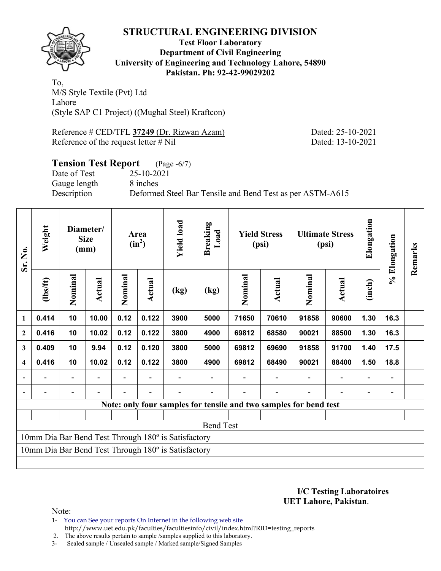

**Test Floor Laboratory Department of Civil Engineering University of Engineering and Technology Lahore, 54890 Pakistan. Ph: 92-42-99029202** 

To, M/S Style Textile (Pvt) Ltd Lahore (Style SAP C1 Project) ((Mughal Steel) Kraftcon)

Reference # CED/TFL **37249** (Dr. Rizwan Azam) Dated: 25-10-2021 Reference of the request letter # Nil Dated: 13-10-2021

## **Tension Test Report** (Page -6/7) Date of Test 25-10-2021 Gauge length 8 inches Description Deformed Steel Bar Tensile and Bend Test as per ASTM-A615

| Sr. No.                  | Weight                                                            |         | Diameter/<br><b>Size</b><br>(mm) |         | Area<br>$(in^2)$ | <b>Yield load</b>                                   | Breaking<br>Load         |         | <b>Yield Stress</b><br>(psi) |         | <b>Ultimate Stress</b><br>(psi) | Elongation               | % Elongation | Remarks |
|--------------------------|-------------------------------------------------------------------|---------|----------------------------------|---------|------------------|-----------------------------------------------------|--------------------------|---------|------------------------------|---------|---------------------------------|--------------------------|--------------|---------|
|                          | $\frac{2}{10}$                                                    | Nominal | Actual                           | Nominal | Actual           | (kg)                                                | $\left(\text{kg}\right)$ | Nominal | <b>Actual</b>                | Nominal | <b>Actual</b>                   | (inch)                   |              |         |
| $\mathbf{1}$             | 0.414                                                             | 10      | 10.00                            | 0.12    | 0.122            | 3900                                                | 5000                     | 71650   | 70610                        | 91858   | 90600                           | 1.30                     | 16.3         |         |
| $\boldsymbol{2}$         | 0.416                                                             | 10      | 10.02                            | 0.12    | 0.122            | 3800                                                | 4900                     | 69812   | 68580                        | 90021   | 88500                           | 1.30                     | 16.3         |         |
| 3                        | 0.409                                                             | 10      | 9.94                             | 0.12    | 0.120            | 3800                                                | 5000                     | 69812   | 69690                        | 91858   | 91700                           | 1.40                     | 17.5         |         |
| $\overline{\mathbf{4}}$  | 0.416                                                             | 10      | 10.02                            | 0.12    | 0.122            | 3800                                                | 4900                     | 69812   | 68490                        | 90021   | 88400                           | 1.50                     | 18.8         |         |
| $\overline{\phantom{0}}$ |                                                                   | Ξ.      |                                  |         |                  |                                                     |                          |         |                              |         | $\overline{a}$                  | $\overline{\phantom{0}}$ |              |         |
| $\overline{\phantom{a}}$ |                                                                   |         |                                  |         |                  |                                                     |                          |         |                              |         |                                 |                          |              |         |
|                          | Note: only four samples for tensile and two samples for bend test |         |                                  |         |                  |                                                     |                          |         |                              |         |                                 |                          |              |         |
|                          |                                                                   |         |                                  |         |                  |                                                     |                          |         |                              |         |                                 |                          |              |         |
|                          |                                                                   |         |                                  |         |                  |                                                     | <b>Bend Test</b>         |         |                              |         |                                 |                          |              |         |
|                          |                                                                   |         |                                  |         |                  | 10mm Dia Bar Bend Test Through 180° is Satisfactory |                          |         |                              |         |                                 |                          |              |         |
|                          |                                                                   |         |                                  |         |                  | 10mm Dia Bar Bend Test Through 180° is Satisfactory |                          |         |                              |         |                                 |                          |              |         |
|                          |                                                                   |         |                                  |         |                  |                                                     |                          |         |                              |         |                                 |                          |              |         |

**I/C Testing Laboratoires UET Lahore, Pakistan**.

- 1- You can See your reports On Internet in the following web site http://www.uet.edu.pk/faculties/facultiesinfo/civil/index.html?RID=testing\_reports
- 2. The above results pertain to sample /samples supplied to this laboratory.
- 3- Sealed sample / Unsealed sample / Marked sample/Signed Samples